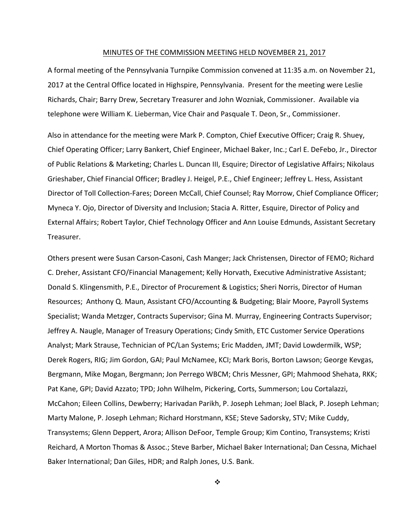#### MINUTES OF THE COMMISSION MEETING HELD NOVEMBER 21, 2017

A formal meeting of the Pennsylvania Turnpike Commission convened at 11:35 a.m. on November 21, 2017 at the Central Office located in Highspire, Pennsylvania. Present for the meeting were Leslie Richards, Chair; Barry Drew, Secretary Treasurer and John Wozniak, Commissioner. Available via telephone were William K. Lieberman, Vice Chair and Pasquale T. Deon, Sr., Commissioner.

Also in attendance for the meeting were Mark P. Compton, Chief Executive Officer; Craig R. Shuey, Chief Operating Officer; Larry Bankert, Chief Engineer, Michael Baker, Inc.; Carl E. DeFebo, Jr., Director of Public Relations & Marketing; Charles L. Duncan III, Esquire; Director of Legislative Affairs; Nikolaus Grieshaber, Chief Financial Officer; Bradley J. Heigel, P.E., Chief Engineer; Jeffrey L. Hess, Assistant Director of Toll Collection‐Fares; Doreen McCall, Chief Counsel; Ray Morrow, Chief Compliance Officer; Myneca Y. Ojo, Director of Diversity and Inclusion; Stacia A. Ritter, Esquire, Director of Policy and External Affairs; Robert Taylor, Chief Technology Officer and Ann Louise Edmunds, Assistant Secretary Treasurer.

Others present were Susan Carson‐Casoni, Cash Manger; Jack Christensen, Director of FEMO; Richard C. Dreher, Assistant CFO/Financial Management; Kelly Horvath, Executive Administrative Assistant; Donald S. Klingensmith, P.E., Director of Procurement & Logistics; Sheri Norris, Director of Human Resources; Anthony Q. Maun, Assistant CFO/Accounting & Budgeting; Blair Moore, Payroll Systems Specialist; Wanda Metzger, Contracts Supervisor; Gina M. Murray, Engineering Contracts Supervisor; Jeffrey A. Naugle, Manager of Treasury Operations; Cindy Smith, ETC Customer Service Operations Analyst; Mark Strause, Technician of PC/Lan Systems; Eric Madden, JMT; David Lowdermilk, WSP; Derek Rogers, RIG; Jim Gordon, GAI; Paul McNamee, KCI; Mark Boris, Borton Lawson; George Kevgas, Bergmann, Mike Mogan, Bergmann; Jon Perrego WBCM; Chris Messner, GPI; Mahmood Shehata, RKK; Pat Kane, GPI; David Azzato; TPD; John Wilhelm, Pickering, Corts, Summerson; Lou Cortalazzi, McCahon; Eileen Collins, Dewberry; Harivadan Parikh, P. Joseph Lehman; Joel Black, P. Joseph Lehman; Marty Malone, P. Joseph Lehman; Richard Horstmann, KSE; Steve Sadorsky, STV; Mike Cuddy, Transystems; Glenn Deppert, Arora; Allison DeFoor, Temple Group; Kim Contino, Transystems; Kristi Reichard, A Morton Thomas & Assoc.; Steve Barber, Michael Baker International; Dan Cessna, Michael Baker International; Dan Giles, HDR; and Ralph Jones, U.S. Bank.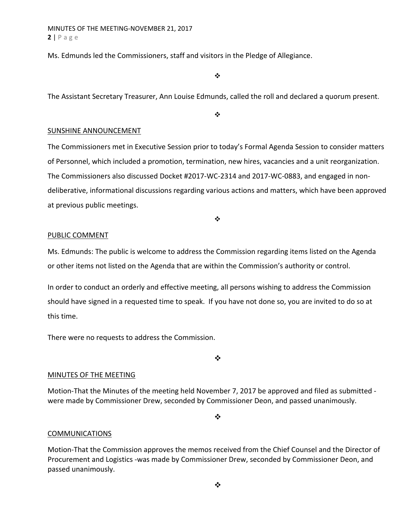MINUTES OF THE MEETING‐NOVEMBER 21, 2017 **2** | Page

Ms. Edmunds led the Commissioners, staff and visitors in the Pledge of Allegiance.

 $\frac{1}{2}$ 

The Assistant Secretary Treasurer, Ann Louise Edmunds, called the roll and declared a quorum present.

 $\cdot$ 

#### SUNSHINE ANNOUNCEMENT

The Commissioners met in Executive Session prior to today's Formal Agenda Session to consider matters of Personnel, which included a promotion, termination, new hires, vacancies and a unit reorganization. The Commissioners also discussed Docket #2017‐WC‐2314 and 2017‐WC‐0883, and engaged in non‐ deliberative, informational discussions regarding various actions and matters, which have been approved at previous public meetings.

 $\ddot{\bullet}$ 

#### PUBLIC COMMENT

Ms. Edmunds: The public is welcome to address the Commission regarding items listed on the Agenda or other items not listed on the Agenda that are within the Commission's authority or control.

In order to conduct an orderly and effective meeting, all persons wishing to address the Commission should have signed in a requested time to speak. If you have not done so, you are invited to do so at this time.

There were no requests to address the Commission.

❖

#### MINUTES OF THE MEETING

Motion-That the Minutes of the meeting held November 7, 2017 be approved and filed as submitted were made by Commissioner Drew, seconded by Commissioner Deon, and passed unanimously.

 $\cdot$ 

#### COMMUNICATIONS

Motion‐That the Commission approves the memos received from the Chief Counsel and the Director of Procurement and Logistics ‐was made by Commissioner Drew, seconded by Commissioner Deon, and passed unanimously.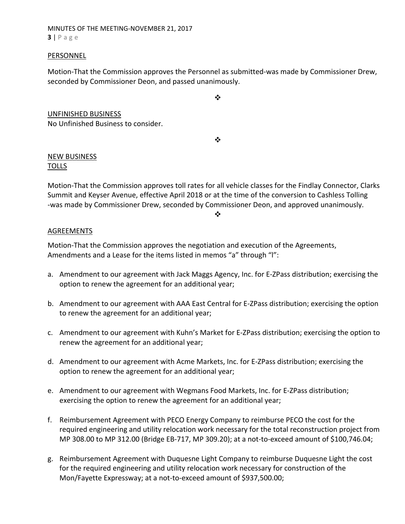MINUTES OF THE MEETING‐NOVEMBER 21, 2017 **3** | Page

#### PERSONNEL

Motion‐That the Commission approves the Personnel as submitted‐was made by Commissioner Drew, seconded by Commissioner Deon, and passed unanimously.

UNFINISHED BUSINESS No Unfinished Business to consider.

 $\frac{1}{2}$ 

 $\cdot$ 

## NEW BUSINESS TOLLS

Motion‐That the Commission approves toll rates for all vehicle classes for the Findlay Connector, Clarks Summit and Keyser Avenue, effective April 2018 or at the time of the conversion to Cashless Tolling ‐was made by Commissioner Drew, seconded by Commissioner Deon, and approved unanimously.

❖

### AGREEMENTS

Motion‐That the Commission approves the negotiation and execution of the Agreements, Amendments and a Lease for the items listed in memos "a" through "l":

- a. Amendment to our agreement with Jack Maggs Agency, Inc. for E‐ZPass distribution; exercising the option to renew the agreement for an additional year;
- b. Amendment to our agreement with AAA East Central for E‐ZPass distribution; exercising the option to renew the agreement for an additional year;
- c. Amendment to our agreement with Kuhn's Market for E‐ZPass distribution; exercising the option to renew the agreement for an additional year;
- d. Amendment to our agreement with Acme Markets, Inc. for E‐ZPass distribution; exercising the option to renew the agreement for an additional year;
- e. Amendment to our agreement with Wegmans Food Markets, Inc. for E‐ZPass distribution; exercising the option to renew the agreement for an additional year;
- f. Reimbursement Agreement with PECO Energy Company to reimburse PECO the cost for the required engineering and utility relocation work necessary for the total reconstruction project from MP 308.00 to MP 312.00 (Bridge EB‐717, MP 309.20); at a not‐to‐exceed amount of \$100,746.04;
- g. Reimbursement Agreement with Duquesne Light Company to reimburse Duquesne Light the cost for the required engineering and utility relocation work necessary for construction of the Mon/Fayette Expressway; at a not‐to‐exceed amount of \$937,500.00;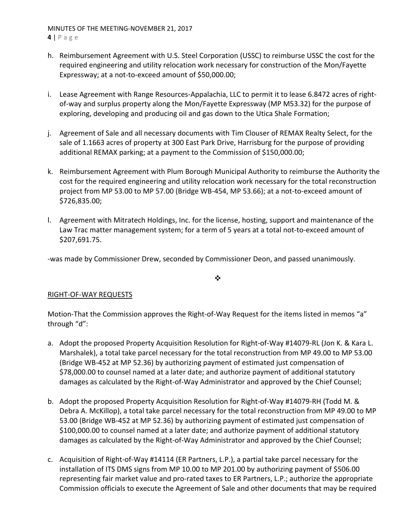MINUTES OF THE MEETING‐NOVEMBER 21, 2017 **4** | Page

- h. Reimbursement Agreement with U.S. Steel Corporation (USSC) to reimburse USSC the cost for the required engineering and utility relocation work necessary for construction of the Mon/Fayette Expressway; at a not‐to‐exceed amount of \$50,000.00;
- i. Lease Agreement with Range Resources-Appalachia, LLC to permit it to lease 6.8472 acres of rightof-way and surplus property along the Mon/Fayette Expressway (MP M53.32) for the purpose of exploring, developing and producing oil and gas down to the Utica Shale Formation;
- j. Agreement of Sale and all necessary documents with Tim Clouser of REMAX Realty Select, for the sale of 1.1663 acres of property at 300 East Park Drive, Harrisburg for the purpose of providing additional REMAX parking; at a payment to the Commission of \$150,000.00;
- k. Reimbursement Agreement with Plum Borough Municipal Authority to reimburse the Authority the cost for the required engineering and utility relocation work necessary for the total reconstruction project from MP 53.00 to MP 57.00 (Bridge WB‐454, MP 53.66); at a not‐to‐exceed amount of \$726,835.00;
- l. Agreement with Mitratech Holdings, Inc. for the license, hosting, support and maintenance of the Law Trac matter management system; for a term of 5 years at a total not-to-exceed amount of \$207,691.75.

‐was made by Commissioner Drew, seconded by Commissioner Deon, and passed unanimously.

❖

## RIGHT‐OF‐WAY REQUESTS

Motion-That the Commission approves the Right-of-Way Request for the items listed in memos "a" through "d":

- a. Adopt the proposed Property Acquisition Resolution for Right‐of‐Way #14079‐RL (Jon K. & Kara L. Marshalek), a total take parcel necessary for the total reconstruction from MP 49.00 to MP 53.00 (Bridge WB‐452 at MP 52.36) by authorizing payment of estimated just compensation of \$78,000.00 to counsel named at a later date; and authorize payment of additional statutory damages as calculated by the Right‐of‐Way Administrator and approved by the Chief Counsel;
- b. Adopt the proposed Property Acquisition Resolution for Right‐of‐Way #14079‐RH (Todd M. & Debra A. McKillop), a total take parcel necessary for the total reconstruction from MP 49.00 to MP 53.00 (Bridge WB‐452 at MP 52.36) by authorizing payment of estimated just compensation of \$100,000.00 to counsel named at a later date; and authorize payment of additional statutory damages as calculated by the Right‐of‐Way Administrator and approved by the Chief Counsel;
- c. Acquisition of Right‐of‐Way #14114 (ER Partners, L.P.), a partial take parcel necessary for the installation of ITS DMS signs from MP 10.00 to MP 201.00 by authorizing payment of \$506.00 representing fair market value and pro‐rated taxes to ER Partners, L.P.; authorize the appropriate Commission officials to execute the Agreement of Sale and other documents that may be required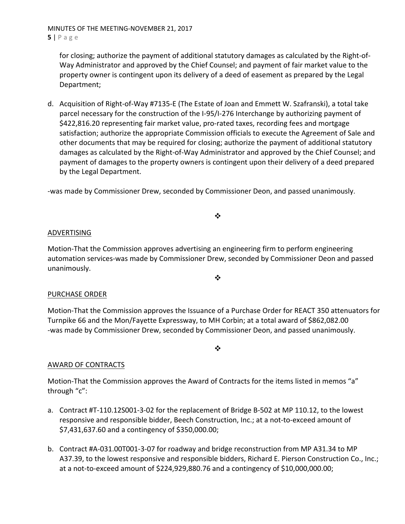MINUTES OF THE MEETING‐NOVEMBER 21, 2017 **5** | Page

for closing; authorize the payment of additional statutory damages as calculated by the Right‐of‐ Way Administrator and approved by the Chief Counsel; and payment of fair market value to the property owner is contingent upon its delivery of a deed of easement as prepared by the Legal Department;

d. Acquisition of Right‐of‐Way #7135‐E (The Estate of Joan and Emmett W. Szafranski), a total take parcel necessary for the construction of the I-95/I-276 Interchange by authorizing payment of \$422,816.20 representing fair market value, pro‐rated taxes, recording fees and mortgage satisfaction; authorize the appropriate Commission officials to execute the Agreement of Sale and other documents that may be required for closing; authorize the payment of additional statutory damages as calculated by the Right‐of‐Way Administrator and approved by the Chief Counsel; and payment of damages to the property owners is contingent upon their delivery of a deed prepared by the Legal Department.

‐was made by Commissioner Drew, seconded by Commissioner Deon, and passed unanimously.

 $\cdot$ 

## ADVERTISING

Motion‐That the Commission approves advertising an engineering firm to perform engineering automation services‐was made by Commissioner Drew, seconded by Commissioner Deon and passed unanimously.

 $\frac{1}{2}$ 

## PURCHASE ORDER

Motion‐That the Commission approves the Issuance of a Purchase Order for REACT 350 attenuators for Turnpike 66 and the Mon/Fayette Expressway, to MH Corbin; at a total award of \$862,082.00 ‐was made by Commissioner Drew, seconded by Commissioner Deon, and passed unanimously.

❖

## AWARD OF CONTRACTS

Motion-That the Commission approves the Award of Contracts for the items listed in memos "a" through "c":

- a. Contract #T‐110.12S001‐3‐02 for the replacement of Bridge B‐502 at MP 110.12, to the lowest responsive and responsible bidder, Beech Construction, Inc.; at a not‐to‐exceed amount of \$7,431,637.60 and a contingency of \$350,000.00;
- b. Contract #A‐031.00T001‐3‐07 for roadway and bridge reconstruction from MP A31.34 to MP A37.39, to the lowest responsive and responsible bidders, Richard E. Pierson Construction Co., Inc.; at a not‐to‐exceed amount of \$224,929,880.76 and a contingency of \$10,000,000.00;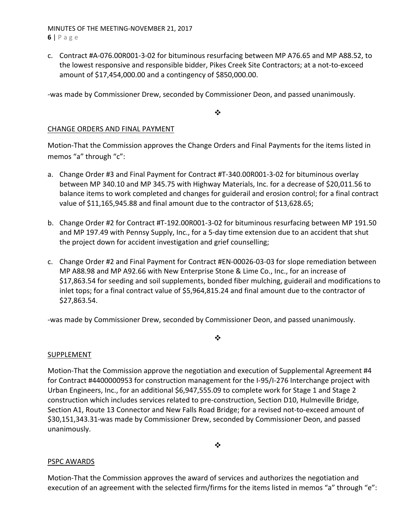MINUTES OF THE MEETING‐NOVEMBER 21, 2017 **6** | Page

c. Contract #A‐076.00R001‐3‐02 for bituminous resurfacing between MP A76.65 and MP A88.52, to the lowest responsive and responsible bidder, Pikes Creek Site Contractors; at a not‐to‐exceed amount of \$17,454,000.00 and a contingency of \$850,000.00.

‐was made by Commissioner Drew, seconded by Commissioner Deon, and passed unanimously.

 $\frac{1}{2}$ 

## CHANGE ORDERS AND FINAL PAYMENT

Motion‐That the Commission approves the Change Orders and Final Payments for the items listed in memos "a" through "c":

- a. Change Order #3 and Final Payment for Contract #T‐340.00R001‐3‐02 for bituminous overlay between MP 340.10 and MP 345.75 with Highway Materials, Inc. for a decrease of \$20,011.56 to balance items to work completed and changes for guiderail and erosion control; for a final contract value of \$11,165,945.88 and final amount due to the contractor of \$13,628.65;
- b. Change Order #2 for Contract #T‐192.00R001‐3‐02 for bituminous resurfacing between MP 191.50 and MP 197.49 with Pennsy Supply, Inc., for a 5‐day time extension due to an accident that shut the project down for accident investigation and grief counselling;
- c. Change Order #2 and Final Payment for Contract #EN‐00026‐03‐03 for slope remediation between MP A88.98 and MP A92.66 with New Enterprise Stone & Lime Co., Inc., for an increase of \$17,863.54 for seeding and soil supplements, bonded fiber mulching, guiderail and modifications to inlet tops; for a final contract value of \$5,964,815.24 and final amount due to the contractor of \$27,863.54.

❖

‐was made by Commissioner Drew, seconded by Commissioner Deon, and passed unanimously.

## SUPPLEMENT

Motion-That the Commission approve the negotiation and execution of Supplemental Agreement #4 for Contract #4400000953 for construction management for the I‐95/I‐276 Interchange project with Urban Engineers, Inc., for an additional \$6,947,555.09 to complete work for Stage 1 and Stage 2 construction which includes services related to pre‐construction, Section D10, Hulmeville Bridge, Section A1, Route 13 Connector and New Falls Road Bridge; for a revised not‐to‐exceed amount of \$30,151,343.31‐was made by Commissioner Drew, seconded by Commissioner Deon, and passed unanimously.

 $\cdot$ 

## PSPC AWARDS

Motion‐That the Commission approves the award of services and authorizes the negotiation and execution of an agreement with the selected firm/firms for the items listed in memos "a" through "e":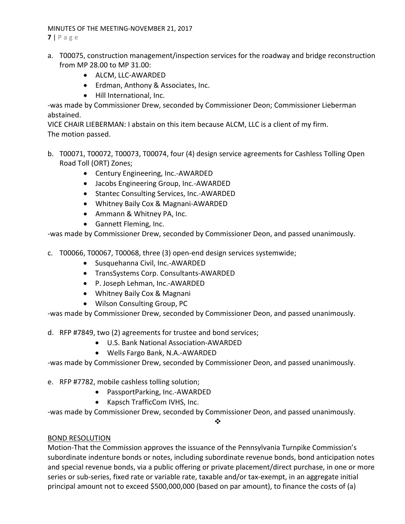### MINUTES OF THE MEETING‐NOVEMBER 21, 2017

**7** | Page

- a. T00075, construction management/inspection services for the roadway and bridge reconstruction from MP 28.00 to MP 31.00:
	- ALCM, LLC-AWARDED
	- Erdman, Anthony & Associates, Inc.
	- Hill International, Inc.

‐was made by Commissioner Drew, seconded by Commissioner Deon; Commissioner Lieberman abstained.

VICE CHAIR LIEBERMAN: I abstain on this item because ALCM, LLC is a client of my firm. The motion passed.

- b. T00071, T00072, T00073, T00074, four (4) design service agreements for Cashless Tolling Open Road Toll (ORT) Zones;
	- Century Engineering, Inc.-AWARDED
	- Jacobs Engineering Group, Inc.-AWARDED
	- Stantec Consulting Services, Inc.-AWARDED
	- Whitney Baily Cox & Magnani-AWARDED
	- Ammann & Whitney PA, Inc.
	- Gannett Fleming, Inc.

‐was made by Commissioner Drew, seconded by Commissioner Deon, and passed unanimously.

c. T00066, T00067, T00068, three (3) open‐end design services systemwide;

- Susquehanna Civil, Inc.-AWARDED
- TransSystems Corp. Consultants-AWARDED
- P. Joseph Lehman, Inc.-AWARDED
- Whitney Baily Cox & Magnani
- Wilson Consulting Group, PC

‐was made by Commissioner Drew, seconded by Commissioner Deon, and passed unanimously.

d. RFP #7849, two (2) agreements for trustee and bond services;

- U.S. Bank National Association‐AWARDED
- Wells Fargo Bank, N.A.-AWARDED

‐was made by Commissioner Drew, seconded by Commissioner Deon, and passed unanimously.

- e. RFP #7782, mobile cashless tolling solution;
	- PassportParking, Inc.-AWARDED
		- Kapsch TrafficCom IVHS, Inc.

‐was made by Commissioner Drew, seconded by Commissioner Deon, and passed unanimously.

 $\frac{1}{2}$ 

# BOND RESOLUTION

Motion‐That the Commission approves the issuance of the Pennsylvania Turnpike Commission's subordinate indenture bonds or notes, including subordinate revenue bonds, bond anticipation notes and special revenue bonds, via a public offering or private placement/direct purchase, in one or more series or sub-series, fixed rate or variable rate, taxable and/or tax-exempt, in an aggregate initial principal amount not to exceed \$500,000,000 (based on par amount), to finance the costs of (a)